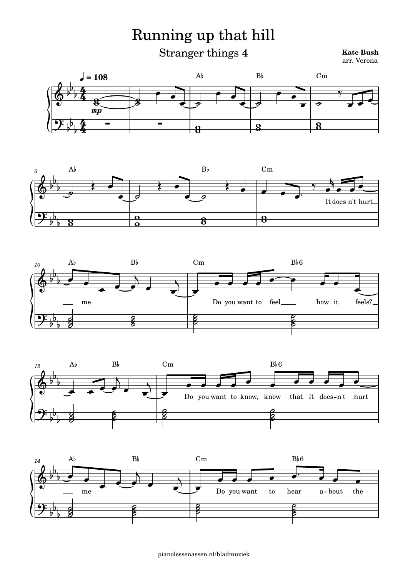Running up that hill

Stranger things 4

## **Kate Bush**









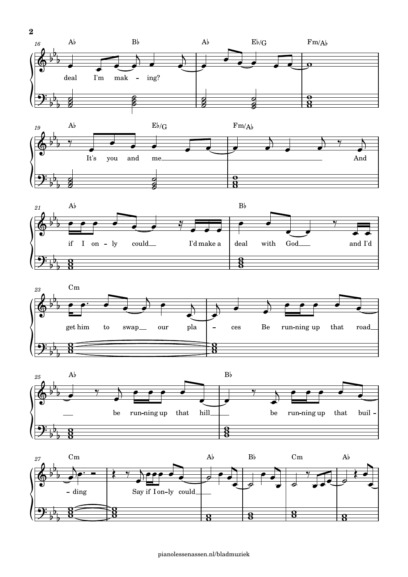









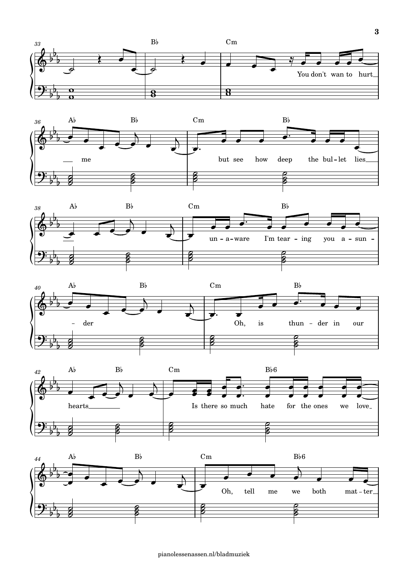









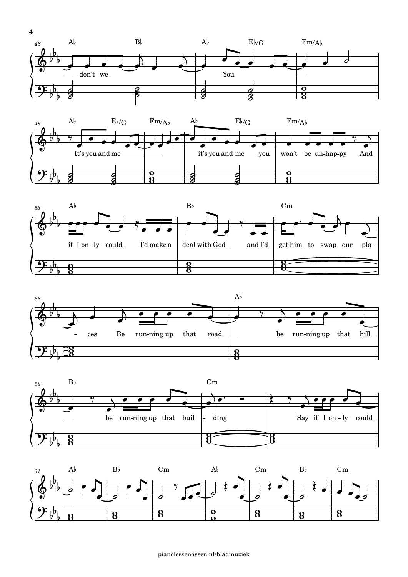









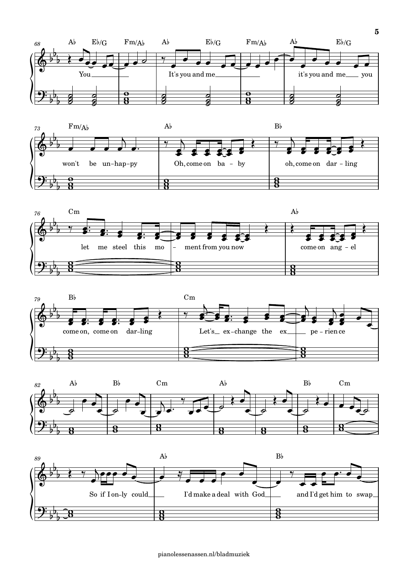









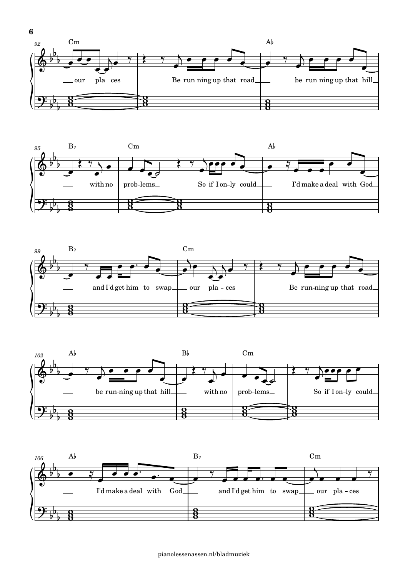